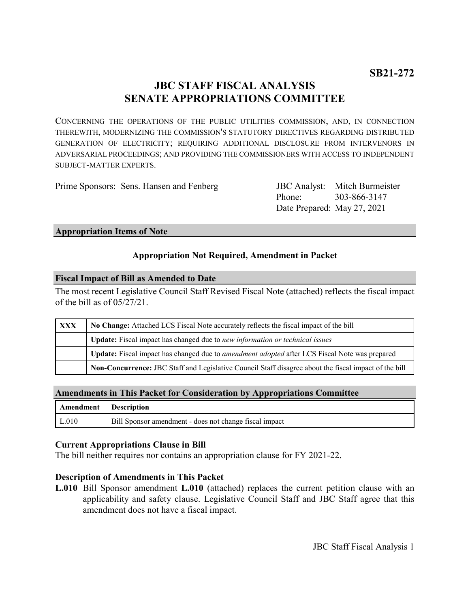# **JBC STAFF FISCAL ANALYSIS SENATE APPROPRIATIONS COMMITTEE**

CONCERNING THE OPERATIONS OF THE PUBLIC UTILITIES COMMISSION, AND, IN CONNECTION THEREWITH, MODERNIZING THE COMMISSION'S STATUTORY DIRECTIVES REGARDING DISTRIBUTED GENERATION OF ELECTRICITY; REQUIRING ADDITIONAL DISCLOSURE FROM INTERVENORS IN ADVERSARIAL PROCEEDINGS; AND PROVIDING THE COMMISSIONERS WITH ACCESS TO INDEPENDENT SUBJECT-MATTER EXPERTS.

Prime Sponsors: Sens. Hansen and Fenberg

Phone: Date Prepared: May 27, 2021 JBC Analyst: Mitch Burmeister 303-866-3147

#### **Appropriation Items of Note**

## **Appropriation Not Required, Amendment in Packet**

#### **Fiscal Impact of Bill as Amended to Date**

The most recent Legislative Council Staff Revised Fiscal Note (attached) reflects the fiscal impact of the bill as of 05/27/21.

| XXX | No Change: Attached LCS Fiscal Note accurately reflects the fiscal impact of the bill                 |
|-----|-------------------------------------------------------------------------------------------------------|
|     | <b>Update:</b> Fiscal impact has changed due to new information or technical issues                   |
|     | Update: Fiscal impact has changed due to <i>amendment adopted</i> after LCS Fiscal Note was prepared  |
|     | Non-Concurrence: JBC Staff and Legislative Council Staff disagree about the fiscal impact of the bill |

#### **Amendments in This Packet for Consideration by Appropriations Committee**

| <b>Amendment</b> Description |                                                        |
|------------------------------|--------------------------------------------------------|
| L.010                        | Bill Sponsor amendment - does not change fiscal impact |

### **Current Appropriations Clause in Bill**

The bill neither requires nor contains an appropriation clause for FY 2021-22.

#### **Description of Amendments in This Packet**

**L.010** Bill Sponsor amendment **L.010** (attached) replaces the current petition clause with an applicability and safety clause. Legislative Council Staff and JBC Staff agree that this amendment does not have a fiscal impact.